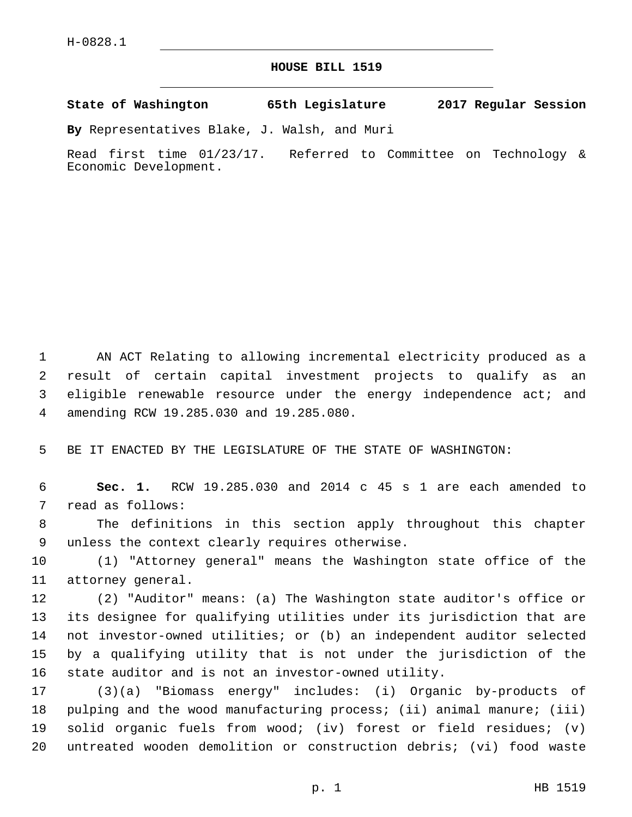## **HOUSE BILL 1519**

**State of Washington 65th Legislature 2017 Regular Session**

**By** Representatives Blake, J. Walsh, and Muri

Read first time 01/23/17. Referred to Committee on Technology & Economic Development.

 AN ACT Relating to allowing incremental electricity produced as a result of certain capital investment projects to qualify as an eligible renewable resource under the energy independence act; and amending RCW 19.285.030 and 19.285.080.4

5 BE IT ENACTED BY THE LEGISLATURE OF THE STATE OF WASHINGTON:

6 **Sec. 1.** RCW 19.285.030 and 2014 c 45 s 1 are each amended to 7 read as follows:

8 The definitions in this section apply throughout this chapter 9 unless the context clearly requires otherwise.

10 (1) "Attorney general" means the Washington state office of the 11 attorney general.

 (2) "Auditor" means: (a) The Washington state auditor's office or its designee for qualifying utilities under its jurisdiction that are not investor-owned utilities; or (b) an independent auditor selected by a qualifying utility that is not under the jurisdiction of the state auditor and is not an investor-owned utility.

 (3)(a) "Biomass energy" includes: (i) Organic by-products of pulping and the wood manufacturing process; (ii) animal manure; (iii) solid organic fuels from wood; (iv) forest or field residues; (v) untreated wooden demolition or construction debris; (vi) food waste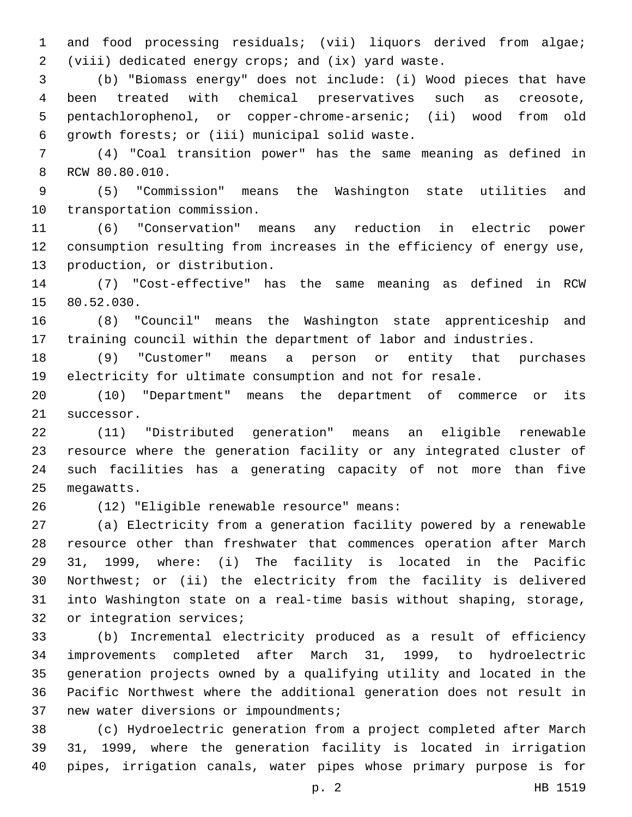and food processing residuals; (vii) liquors derived from algae; (viii) dedicated energy crops; and (ix) yard waste.

 (b) "Biomass energy" does not include: (i) Wood pieces that have been treated with chemical preservatives such as creosote, pentachlorophenol, or copper-chrome-arsenic; (ii) wood from old 6 growth forests; or (iii) municipal solid waste.

 (4) "Coal transition power" has the same meaning as defined in 8 RCW 80.80.010.

 (5) "Commission" means the Washington state utilities and 10 transportation commission.

 (6) "Conservation" means any reduction in electric power consumption resulting from increases in the efficiency of energy use, 13 production, or distribution.

 (7) "Cost-effective" has the same meaning as defined in RCW 15 80.52.030.

 (8) "Council" means the Washington state apprenticeship and training council within the department of labor and industries.

 (9) "Customer" means a person or entity that purchases electricity for ultimate consumption and not for resale.

 (10) "Department" means the department of commerce or its 21 successor.

 (11) "Distributed generation" means an eligible renewable resource where the generation facility or any integrated cluster of such facilities has a generating capacity of not more than five 25 megawatts.

(12) "Eligible renewable resource" means:26

 (a) Electricity from a generation facility powered by a renewable resource other than freshwater that commences operation after March 31, 1999, where: (i) The facility is located in the Pacific Northwest; or (ii) the electricity from the facility is delivered into Washington state on a real-time basis without shaping, storage, 32 or integration services;

 (b) Incremental electricity produced as a result of efficiency improvements completed after March 31, 1999, to hydroelectric generation projects owned by a qualifying utility and located in the Pacific Northwest where the additional generation does not result in 37 new water diversions or impoundments;

 (c) Hydroelectric generation from a project completed after March 31, 1999, where the generation facility is located in irrigation pipes, irrigation canals, water pipes whose primary purpose is for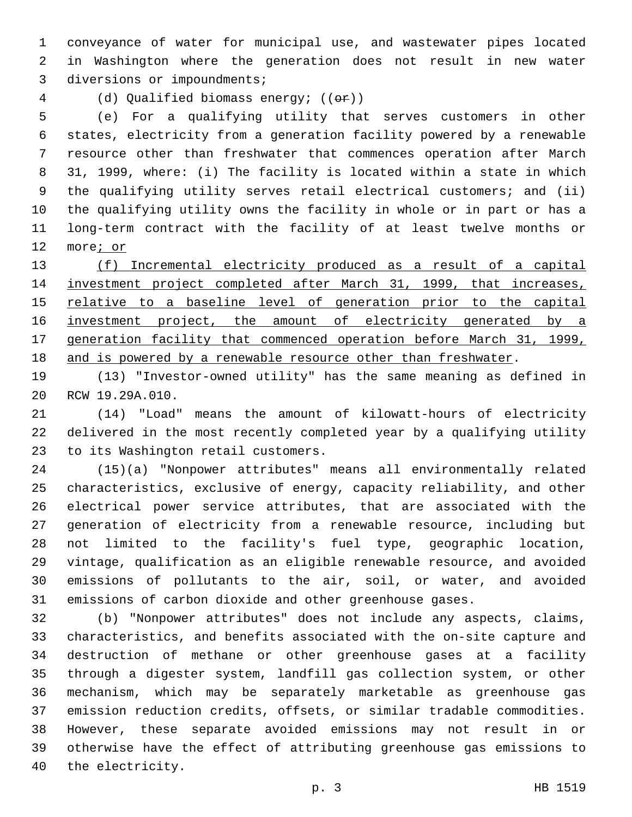conveyance of water for municipal use, and wastewater pipes located in Washington where the generation does not result in new water 3 diversions or impoundments;

(d) Qualified biomass energy; ((or))

 (e) For a qualifying utility that serves customers in other states, electricity from a generation facility powered by a renewable resource other than freshwater that commences operation after March 31, 1999, where: (i) The facility is located within a state in which the qualifying utility serves retail electrical customers; and (ii) the qualifying utility owns the facility in whole or in part or has a long-term contract with the facility of at least twelve months or more; or

 (f) Incremental electricity produced as a result of a capital investment project completed after March 31, 1999, that increases, 15 relative to a baseline level of generation prior to the capital 16 investment project, the amount of electricity generated by a generation facility that commenced operation before March 31, 1999, and is powered by a renewable resource other than freshwater.

 (13) "Investor-owned utility" has the same meaning as defined in 20 RCW 19.29A.010.

 (14) "Load" means the amount of kilowatt-hours of electricity delivered in the most recently completed year by a qualifying utility 23 to its Washington retail customers.

 (15)(a) "Nonpower attributes" means all environmentally related characteristics, exclusive of energy, capacity reliability, and other electrical power service attributes, that are associated with the generation of electricity from a renewable resource, including but not limited to the facility's fuel type, geographic location, vintage, qualification as an eligible renewable resource, and avoided emissions of pollutants to the air, soil, or water, and avoided emissions of carbon dioxide and other greenhouse gases.

 (b) "Nonpower attributes" does not include any aspects, claims, characteristics, and benefits associated with the on-site capture and destruction of methane or other greenhouse gases at a facility through a digester system, landfill gas collection system, or other mechanism, which may be separately marketable as greenhouse gas emission reduction credits, offsets, or similar tradable commodities. However, these separate avoided emissions may not result in or otherwise have the effect of attributing greenhouse gas emissions to 40 the electricity.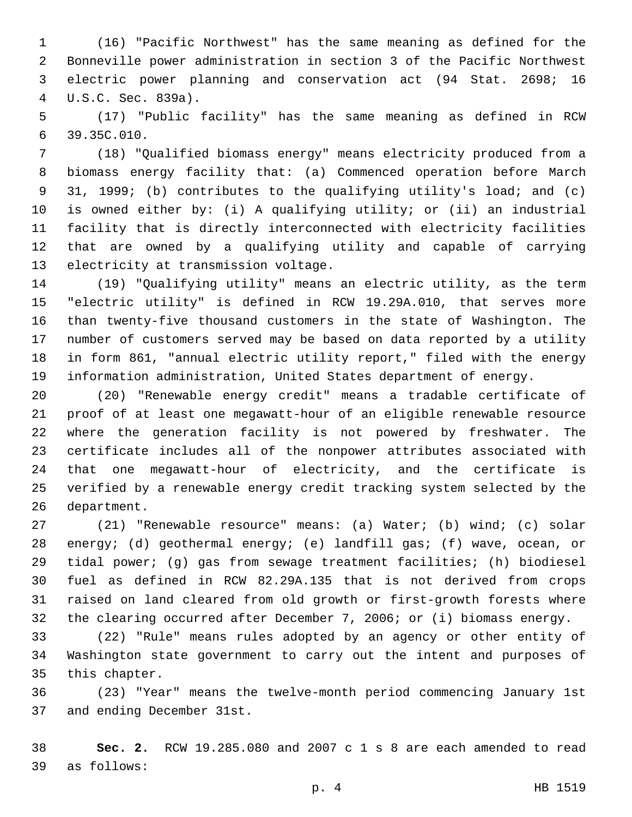(16) "Pacific Northwest" has the same meaning as defined for the Bonneville power administration in section 3 of the Pacific Northwest electric power planning and conservation act (94 Stat. 2698; 16 U.S.C. Sec. 839a).4

 (17) "Public facility" has the same meaning as defined in RCW 39.35C.010.6

 (18) "Qualified biomass energy" means electricity produced from a biomass energy facility that: (a) Commenced operation before March 31, 1999; (b) contributes to the qualifying utility's load; and (c) is owned either by: (i) A qualifying utility; or (ii) an industrial facility that is directly interconnected with electricity facilities that are owned by a qualifying utility and capable of carrying 13 electricity at transmission voltage.

 (19) "Qualifying utility" means an electric utility, as the term "electric utility" is defined in RCW 19.29A.010, that serves more than twenty-five thousand customers in the state of Washington. The number of customers served may be based on data reported by a utility in form 861, "annual electric utility report," filed with the energy information administration, United States department of energy.

 (20) "Renewable energy credit" means a tradable certificate of proof of at least one megawatt-hour of an eligible renewable resource where the generation facility is not powered by freshwater. The certificate includes all of the nonpower attributes associated with that one megawatt-hour of electricity, and the certificate is verified by a renewable energy credit tracking system selected by the 26 department.

 (21) "Renewable resource" means: (a) Water; (b) wind; (c) solar energy; (d) geothermal energy; (e) landfill gas; (f) wave, ocean, or tidal power; (g) gas from sewage treatment facilities; (h) biodiesel fuel as defined in RCW 82.29A.135 that is not derived from crops raised on land cleared from old growth or first-growth forests where the clearing occurred after December 7, 2006; or (i) biomass energy.

 (22) "Rule" means rules adopted by an agency or other entity of Washington state government to carry out the intent and purposes of 35 this chapter.

 (23) "Year" means the twelve-month period commencing January 1st 37 and ending December 31st.

 **Sec. 2.** RCW 19.285.080 and 2007 c 1 s 8 are each amended to read as follows:39